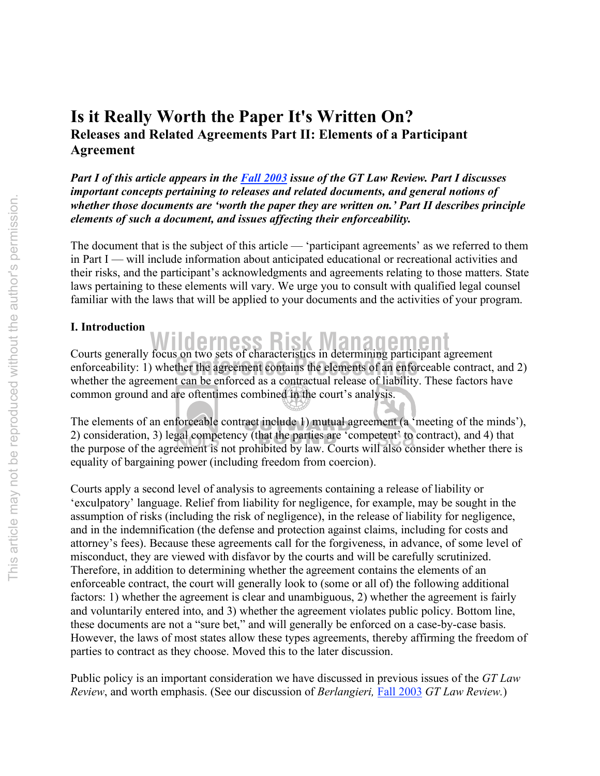# **Is it Really Worth the Paper It's Written On? Releases and Related Agreements Part II: Elements of a Participant Agreement**

*Part I of this article appears in the Fall 2003 issue of the GT Law Review. Part I discusses important concepts pertaining to releases and related documents, and general notions of whether those documents are 'worth the paper they are written on.' Part II describes principle elements of such a document, and issues affecting their enforceability.*

The document that is the subject of this article — 'participant agreements' as we referred to them in Part I — will include information about anticipated educational or recreational activities and their risks, and the participant's acknowledgments and agreements relating to those matters. State laws pertaining to these elements will vary. We urge you to consult with qualified legal counsel familiar with the laws that will be applied to your documents and the activities of your program.

# **I. Introduction**

exercis generally focus on two sets of enfinitently in determining participant agreement<br>enforceability: 1) whether the agreement contains the elements of an enforceable contract, and 2) **Courts generally focus on two sets of characteristics in determining participant agreement** whether the agreement can be enforced as a contractual release of liability. These factors have common ground and are oftentimes combined in the court's analysis.

The elements of an enforceable contract include 1) mutual agreement (a 'meeting of the minds'), 2) consideration, 3) legal competency (that the parties are 'competent' to contract), and 4) that the purpose of the agreement is not prohibited by law. Courts will also consider whether there is equality of bargaining power (including freedom from coercion).

Courts apply a second level of analysis to agreements containing a release of liability or 'exculpatory' language. Relief from liability for negligence, for example, may be sought in the assumption of risks (including the risk of negligence), in the release of liability for negligence, and in the indemnification (the defense and protection against claims, including for costs and attorney's fees). Because these agreements call for the forgiveness, in advance, of some level of misconduct, they are viewed with disfavor by the courts and will be carefully scrutinized. Therefore, in addition to determining whether the agreement contains the elements of an enforceable contract, the court will generally look to (some or all of) the following additional factors: 1) whether the agreement is clear and unambiguous, 2) whether the agreement is fairly and voluntarily entered into, and 3) whether the agreement violates public policy. Bottom line, these documents are not a "sure bet," and will generally be enforced on a case-by-case basis. However, the laws of most states allow these types agreements, thereby affirming the freedom of parties to contract as they choose. Moved this to the later discussion.

Public policy is an important consideration we have discussed in previous issues of the *GT Law Review*, and worth emphasis. (See our discussion of *Berlangieri,* Fall 2003 *GT Law Review.*)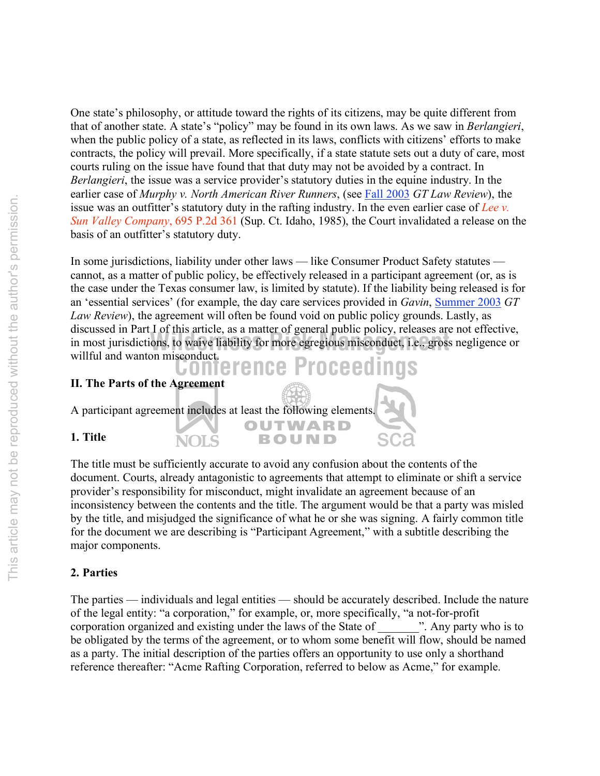One state's philosophy, or attitude toward the rights of its citizens, may be quite different from that of another state. A state's "policy" may be found in its own laws. As we saw in *Berlangieri*, when the public policy of a state, as reflected in its laws, conflicts with citizens' efforts to make contracts, the policy will prevail. More specifically, if a state statute sets out a duty of care, most courts ruling on the issue have found that that duty may not be avoided by a contract. In *Berlangieri*, the issue was a service provider's statutory duties in the equine industry. In the earlier case of *Murphy v. North American River Runners*, (see Fall 2003 *GT Law Review*), the issue was an outfitter's statutory duty in the rafting industry. In the even earlier case of *Lee v. Sun Valley Company*, 695 P.2d 361 (Sup. Ct. Idaho, 1985), the Court invalidated a release on the basis of an outfitter's statutory duty.

**Conference Proceedings** anseassed in Fart For ans article, as a matter of general paolic policy, releases and<br>in most jurisdictions, to waive liability for more egregious misconduct, i.e., gross<br>willful and wanton misconduct. In some jurisdictions, liability under other laws — like Consumer Product Safety statutes cannot, as a matter of public policy, be effectively released in a participant agreement (or, as is the case under the Texas consumer law, is limited by statute). If the liability being released is for an 'essential services' (for example, the day care services provided in *Gavin*, Summer 2003 *GT Law Review*), the agreement will often be found void on public policy grounds. Lastly, as discussed in Part I of this article, as a matter of general public policy, releases are not effective, in most jurisdictions, to waive liability for more egregious misconduct, i.e., gross negligence or

| II. The Parts of the Agreement |                                                                   |  |
|--------------------------------|-------------------------------------------------------------------|--|
|                                | A participant agreement includes at least the following elements. |  |
| 1. Title                       | OUTWARD<br><b>BOUND</b>                                           |  |

The title must be sufficiently accurate to avoid any confusion about the contents of the document. Courts, already antagonistic to agreements that attempt to eliminate or shift a service provider's responsibility for misconduct, might invalidate an agreement because of an inconsistency between the contents and the title. The argument would be that a party was misled by the title, and misjudged the significance of what he or she was signing. A fairly common title for the document we are describing is "Participant Agreement," with a subtitle describing the major components.

## **2. Parties**

The parties — individuals and legal entities — should be accurately described. Include the nature of the legal entity: "a corporation," for example, or, more specifically, "a not-for-profit corporation organized and existing under the laws of the State of  $\cdots$ . Any party who is to be obligated by the terms of the agreement, or to whom some benefit will flow, should be named as a party. The initial description of the parties offers an opportunity to use only a shorthand reference thereafter: "Acme Rafting Corporation, referred to below as Acme," for example.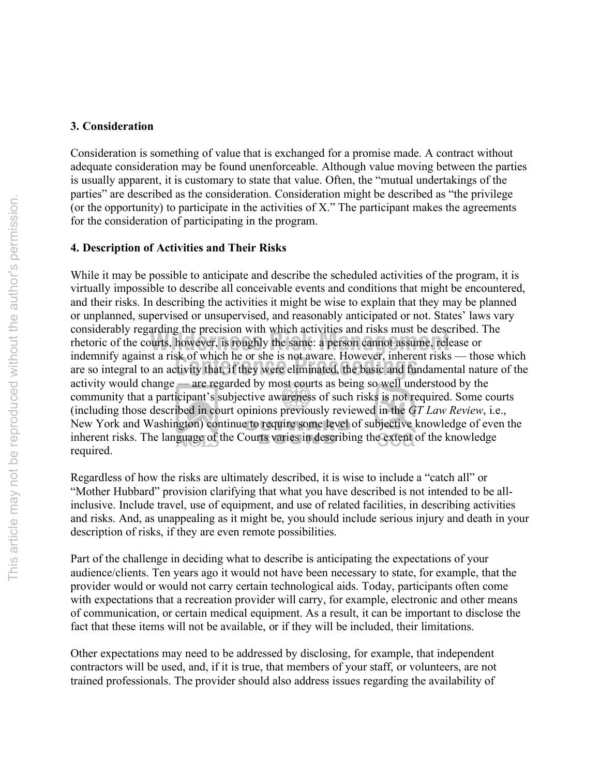#### **3. Consideration**

Consideration is something of value that is exchanged for a promise made. A contract without adequate consideration may be found unenforceable. Although value moving between the parties is usually apparent, it is customary to state that value. Often, the "mutual undertakings of the parties" are described as the consideration. Consideration might be described as "the privilege (or the opportunity) to participate in the activities of X." The participant makes the agreements for the consideration of participating in the program.

# **4. Description of Activities and Their Risks**

Indemnity against a risk of which he or she is not aware. However, inherent risks — those which are so integral to an activity that, if they were eliminated, the basic and fundamental nature of the rhetoric of the courts, however, is roughly the same: a person cannot assume, release or<br>indomity against a right of which he on the in act events. However, inherent rights the While it may be possible to anticipate and describe the scheduled activities of the program, it is virtually impossible to describe all conceivable events and conditions that might be encountered, and their risks. In describing the activities it might be wise to explain that they may be planned or unplanned, supervised or unsupervised, and reasonably anticipated or not. States' laws vary considerably regarding the precision with which activities and risks must be described. The indemnify against a risk of which he or she is not aware. However, inherent risks — those which activity would change — are regarded by most courts as being so well understood by the community that a participant's subjective awareness of such risks is not required. Some courts (including those described in court opinions previously reviewed in the *GT Law Review*, i.e., New York and Washington) continue to require some level of subjective knowledge of even the inherent risks. The language of the Courts varies in describing the extent of the knowledge required.

Regardless of how the risks are ultimately described, it is wise to include a "catch all" or "Mother Hubbard" provision clarifying that what you have described is not intended to be allinclusive. Include travel, use of equipment, and use of related facilities, in describing activities and risks. And, as unappealing as it might be, you should include serious injury and death in your description of risks, if they are even remote possibilities.

Part of the challenge in deciding what to describe is anticipating the expectations of your audience/clients. Ten years ago it would not have been necessary to state, for example, that the provider would or would not carry certain technological aids. Today, participants often come with expectations that a recreation provider will carry, for example, electronic and other means of communication, or certain medical equipment. As a result, it can be important to disclose the fact that these items will not be available, or if they will be included, their limitations.

Other expectations may need to be addressed by disclosing, for example, that independent contractors will be used, and, if it is true, that members of your staff, or volunteers, are not trained professionals. The provider should also address issues regarding the availability of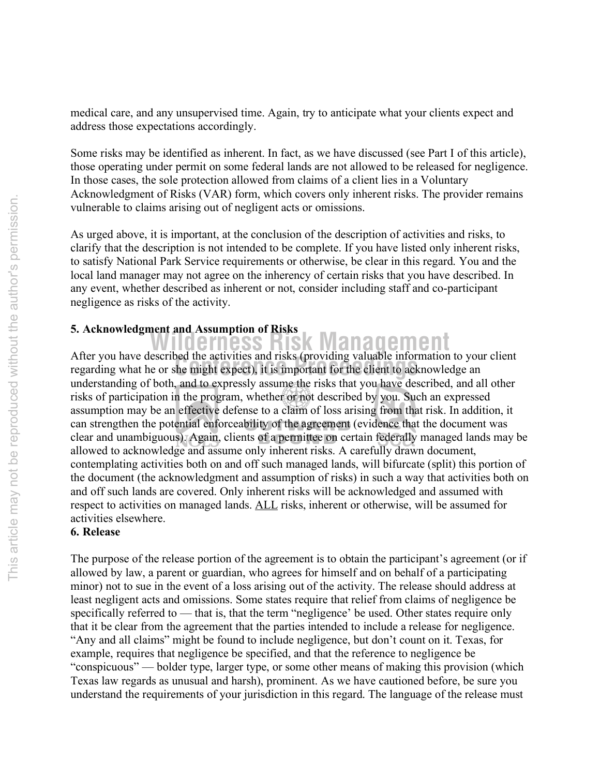medical care, and any unsupervised time. Again, try to anticipate what your clients expect and address those expectations accordingly.

Some risks may be identified as inherent. In fact, as we have discussed (see Part I of this article), those operating under permit on some federal lands are not allowed to be released for negligence. In those cases, the sole protection allowed from claims of a client lies in a Voluntary Acknowledgment of Risks (VAR) form, which covers only inherent risks. The provider remains vulnerable to claims arising out of negligent acts or omissions.

As urged above, it is important, at the conclusion of the description of activities and risks, to clarify that the description is not intended to be complete. If you have listed only inherent risks, to satisfy National Park Service requirements or otherwise, be clear in this regard. You and the local land manager may not agree on the inherency of certain risks that you have described. In any event, whether described as inherent or not, consider including staff and co-participant negligence as risks of the activity.

# **5. Acknowledgment and Assumption of Risks**

After you have described the activities and risks (providing valuable information to you<br>regarding what he or she might expect), it is important for the client to acknowledge an **Wilderness Risk Management** After you have described the activities and risks (providing valuable information to your client understanding of both, and to expressly assume the risks that you have described, and all other risks of participation in the program, whether or not described by you. Such an expressed assumption may be an effective defense to a claim of loss arising from that risk. In addition, it can strengthen the potential enforceability of the agreement (evidence that the document was clear and unambiguous). Again, clients of a permittee on certain federally managed lands may be allowed to acknowledge and assume only inherent risks. A carefully drawn document, contemplating activities both on and off such managed lands, will bifurcate (split) this portion of the document (the acknowledgment and assumption of risks) in such a way that activities both on and off such lands are covered. Only inherent risks will be acknowledged and assumed with respect to activities on managed lands. ALL risks, inherent or otherwise, will be assumed for activities elsewhere.

#### **6. Release**

The purpose of the release portion of the agreement is to obtain the participant's agreement (or if allowed by law, a parent or guardian, who agrees for himself and on behalf of a participating minor) not to sue in the event of a loss arising out of the activity. The release should address at least negligent acts and omissions. Some states require that relief from claims of negligence be specifically referred to — that is, that the term "negligence' be used. Other states require only that it be clear from the agreement that the parties intended to include a release for negligence. "Any and all claims" might be found to include negligence, but don't count on it. Texas, for example, requires that negligence be specified, and that the reference to negligence be "conspicuous" — bolder type, larger type, or some other means of making this provision (which Texas law regards as unusual and harsh), prominent. As we have cautioned before, be sure you understand the requirements of your jurisdiction in this regard. The language of the release must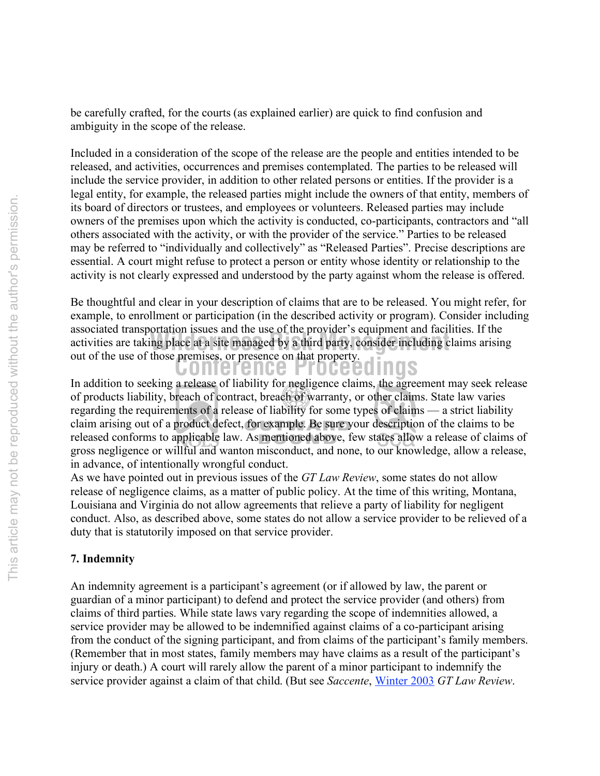be carefully crafted, for the courts (as explained earlier) are quick to find confusion and ambiguity in the scope of the release.

Included in a consideration of the scope of the release are the people and entities intended to be released, and activities, occurrences and premises contemplated. The parties to be released will include the service provider, in addition to other related persons or entities. If the provider is a legal entity, for example, the released parties might include the owners of that entity, members of its board of directors or trustees, and employees or volunteers. Released parties may include owners of the premises upon which the activity is conducted, co-participants, contractors and "all others associated with the activity, or with the provider of the service." Parties to be released may be referred to "individually and collectively" as "Released Parties". Precise descriptions are essential. A court might refuse to protect a person or entity whose identity or relationship to the activity is not clearly expressed and understood by the party against whom the release is offered.

**Conference Proceedings** associated transportation issues and the use of the provider is equipment and neutries. It the<br>activities are taking place at a site managed by a third party, consider including claims arising Be thoughtful and clear in your description of claims that are to be released. You might refer, for example, to enrollment or participation (in the described activity or program). Consider including associated transportation issues and the use of the provider's equipment and facilities. If the out of the use of those premises, or presence on that property.

In addition to seeking a release of liability for negligence claims, the agreement may seek release of products liability, breach of contract, breach of warranty, or other claims. State law varies regarding the requirements of a release of liability for some types of claims — a strict liability claim arising out of a product defect, for example. Be sure your description of the claims to be released conforms to applicable law. As mentioned above, few states allow a release of claims of gross negligence or willful and wanton misconduct, and none, to our knowledge, allow a release, in advance, of intentionally wrongful conduct.

As we have pointed out in previous issues of the *GT Law Review*, some states do not allow release of negligence claims, as a matter of public policy. At the time of this writing, Montana, Louisiana and Virginia do not allow agreements that relieve a party of liability for negligent conduct. Also, as described above, some states do not allow a service provider to be relieved of a duty that is statutorily imposed on that service provider.

#### **7. Indemnity**

An indemnity agreement is a participant's agreement (or if allowed by law, the parent or guardian of a minor participant) to defend and protect the service provider (and others) from claims of third parties. While state laws vary regarding the scope of indemnities allowed, a service provider may be allowed to be indemnified against claims of a co-participant arising from the conduct of the signing participant, and from claims of the participant's family members. (Remember that in most states, family members may have claims as a result of the participant's injury or death.) A court will rarely allow the parent of a minor participant to indemnify the service provider against a claim of that child. (But see *Saccente*, Winter 2003 *GT Law Review*.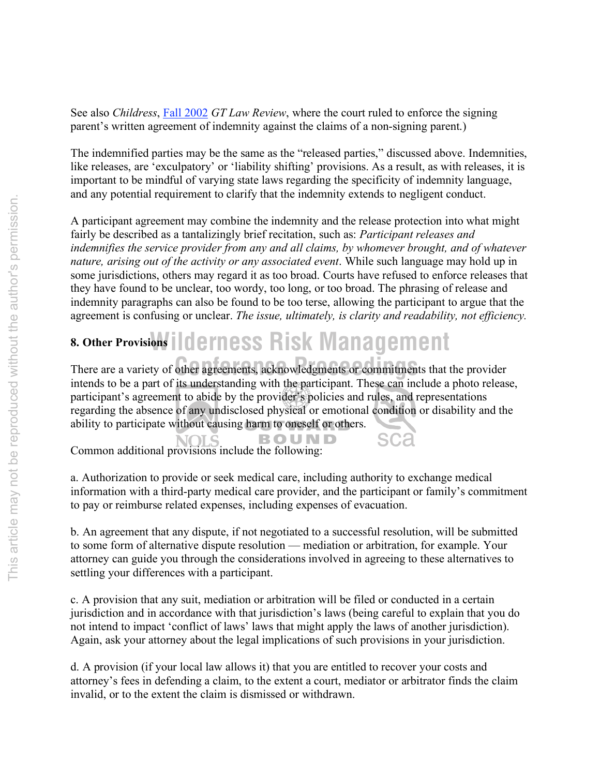See also *Childress*, Fall 2002 *GT Law Review*, where the court ruled to enforce the signing parent's written agreement of indemnity against the claims of a non-signing parent.)

The indemnified parties may be the same as the "released parties," discussed above. Indemnities, like releases, are 'exculpatory' or 'liability shifting' provisions. As a result, as with releases, it is important to be mindful of varying state laws regarding the specificity of indemnity language, and any potential requirement to clarify that the indemnity extends to negligent conduct.

A participant agreement may combine the indemnity and the release protection into what might fairly be described as a tantalizingly brief recitation, such as: *Participant releases and indemnifies the service provider from any and all claims, by whomever brought, and of whatever nature, arising out of the activity or any associated event*. While such language may hold up in some jurisdictions, others may regard it as too broad. Courts have refused to enforce releases that they have found to be unclear, too wordy, too long, or too broad. The phrasing of release and indemnity paragraphs can also be found to be too terse, allowing the participant to argue that the agreement is confusing or unclear. *The issue, ultimately, is clarity and readability, not efficiency.*

# **8. Other Provisions | | clerness Risk Management**

There are a variety of other agreements, acknowledgments or commitments that the provider intends to be a part of its understanding with the participant. These can include a photo release, participant's agreement to abide by the provider's policies and rules, and representations regarding the absence of any undisclosed physical or emotional condition or disability and the ability to participate without causing harm to oneself or others.

Common additional provisions include the following: **BOUND** 

a. Authorization to provide or seek medical care, including authority to exchange medical information with a third-party medical care provider, and the participant or family's commitment to pay or reimburse related expenses, including expenses of evacuation.

b. An agreement that any dispute, if not negotiated to a successful resolution, will be submitted to some form of alternative dispute resolution — mediation or arbitration, for example. Your attorney can guide you through the considerations involved in agreeing to these alternatives to settling your differences with a participant.

c. A provision that any suit, mediation or arbitration will be filed or conducted in a certain jurisdiction and in accordance with that jurisdiction's laws (being careful to explain that you do not intend to impact 'conflict of laws' laws that might apply the laws of another jurisdiction). Again, ask your attorney about the legal implications of such provisions in your jurisdiction.

d. A provision (if your local law allows it) that you are entitled to recover your costs and attorney's fees in defending a claim, to the extent a court, mediator or arbitrator finds the claim invalid, or to the extent the claim is dismissed or withdrawn.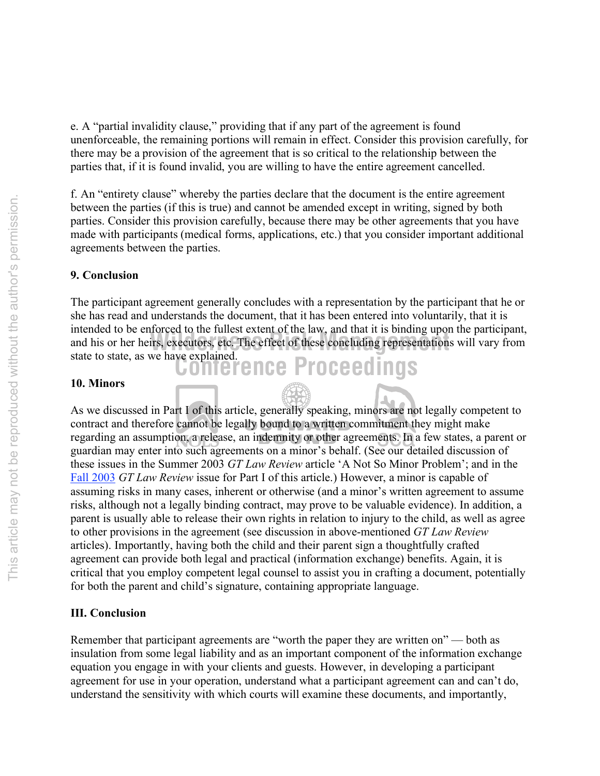e. A "partial invalidity clause," providing that if any part of the agreement is found unenforceable, the remaining portions will remain in effect. Consider this provision carefully, for there may be a provision of the agreement that is so critical to the relationship between the parties that, if it is found invalid, you are willing to have the entire agreement cancelled.

f. An "entirety clause" whereby the parties declare that the document is the entire agreement between the parties (if this is true) and cannot be amended except in writing, signed by both parties. Consider this provision carefully, because there may be other agreements that you have made with participants (medical forms, applications, etc.) that you consider important additional agreements between the parties.

# **9. Conclusion**

state to state, as we have explained.<br> **CONFETENCE Proceedings** and his or her heirs, executors, etc. The effect of these concluding representations will vary from The participant agreement generally concludes with a representation by the participant that he or she has read and understands the document, that it has been entered into voluntarily, that it is intended to be enforced to the fullest extent of the law, and that it is binding upon the participant,

#### **10. Minors**

As we discussed in Part I of this article, generally speaking, minors are not legally competent to contract and therefore cannot be legally bound to a written commitment they might make regarding an assumption, a release, an indemnity or other agreements. In a few states, a parent or guardian may enter into such agreements on a minor's behalf. (See our detailed discussion of these issues in the Summer 2003 *GT Law Review* article 'A Not So Minor Problem'; and in the Fall 2003 *GT Law Review* issue for Part I of this article.) However, a minor is capable of assuming risks in many cases, inherent or otherwise (and a minor's written agreement to assume risks, although not a legally binding contract, may prove to be valuable evidence). In addition, a parent is usually able to release their own rights in relation to injury to the child, as well as agree to other provisions in the agreement (see discussion in above-mentioned *GT Law Review* articles). Importantly, having both the child and their parent sign a thoughtfully crafted agreement can provide both legal and practical (information exchange) benefits. Again, it is critical that you employ competent legal counsel to assist you in crafting a document, potentially for both the parent and child's signature, containing appropriate language.

#### **III. Conclusion**

Remember that participant agreements are "worth the paper they are written on" — both as insulation from some legal liability and as an important component of the information exchange equation you engage in with your clients and guests. However, in developing a participant agreement for use in your operation, understand what a participant agreement can and can't do, understand the sensitivity with which courts will examine these documents, and importantly,